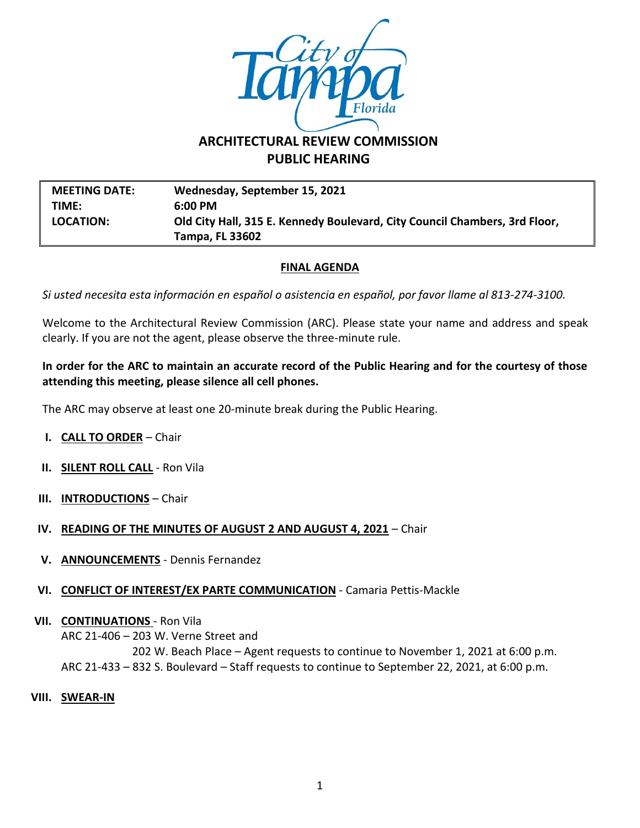

# **ARCHITECTURAL REVIEW COMMISSION PUBLIC HEARING**

**MEETING DATE: Wednesday, September 15, 2021 TIME: 6:00 PM LOCATION: Old City Hall, 315 E. Kennedy Boulevard, City Council Chambers, 3rd Floor, Tampa, FL 33602**

### **FINAL AGENDA**

*Si usted necesita esta información en español o asistencia en español, por favor llame al 813-274-3100.*

Welcome to the Architectural Review Commission (ARC). Please state your name and address and speak clearly. If you are not the agent, please observe the three-minute rule.

#### **In order for the ARC to maintain an accurate record of the Public Hearing and for the courtesy of those attending this meeting, please silence all cell phones.**

The ARC may observe at least one 20-minute break during the Public Hearing.

- **I. CALL TO ORDER** Chair
- **II. SILENT ROLL CALL** Ron Vila
- **III. INTRODUCTIONS** Chair
- **IV. READING OF THE MINUTES OF AUGUST 2 AND AUGUST 4, 2021** Chair
- **V. ANNOUNCEMENTS** Dennis Fernandez
- **VI. CONFLICT OF INTEREST/EX PARTE COMMUNICATION** Camaria Pettis-Mackle
- **VII. CONTINUATIONS**  Ron Vila

ARC 21-406 – 203 W. Verne Street and 202 W. Beach Place – Agent requests to continue to November 1, 2021 at 6:00 p.m. ARC 21-433 – 832 S. Boulevard – Staff requests to continue to September 22, 2021, at 6:00 p.m.

**VIII. SWEAR-IN**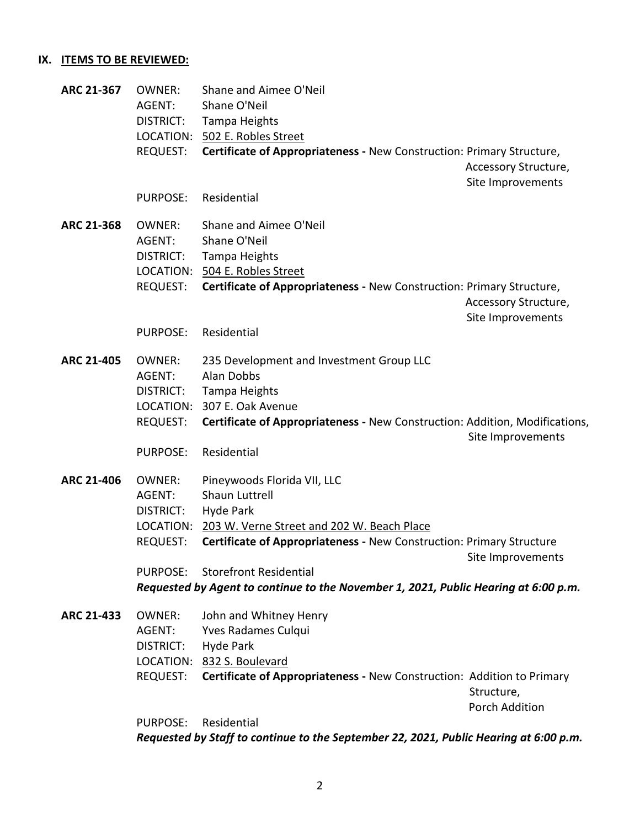## **IX. ITEMS TO BE REVIEWED:**

| ARC 21-367        | <b>OWNER:</b><br>AGENT: | Shane and Aimee O'Neil<br>Shane O'Neil                                                |                       |
|-------------------|-------------------------|---------------------------------------------------------------------------------------|-----------------------|
|                   | DISTRICT:               | Tampa Heights                                                                         |                       |
|                   |                         | LOCATION: 502 E. Robles Street                                                        |                       |
|                   | <b>REQUEST:</b>         | Certificate of Appropriateness - New Construction: Primary Structure,                 |                       |
|                   |                         |                                                                                       | Accessory Structure,  |
|                   |                         |                                                                                       | Site Improvements     |
|                   | <b>PURPOSE:</b>         | Residential                                                                           |                       |
| <b>ARC 21-368</b> | <b>OWNER:</b>           | Shane and Aimee O'Neil                                                                |                       |
|                   | AGENT:                  | Shane O'Neil                                                                          |                       |
|                   | DISTRICT:               | Tampa Heights                                                                         |                       |
|                   |                         | LOCATION: 504 E. Robles Street                                                        |                       |
|                   | <b>REQUEST:</b>         | Certificate of Appropriateness - New Construction: Primary Structure,                 |                       |
|                   |                         |                                                                                       | Accessory Structure,  |
|                   |                         |                                                                                       | Site Improvements     |
|                   | <b>PURPOSE:</b>         | Residential                                                                           |                       |
|                   |                         |                                                                                       |                       |
| <b>ARC 21-405</b> | <b>OWNER:</b>           | 235 Development and Investment Group LLC                                              |                       |
|                   | AGENT:                  | <b>Alan Dobbs</b>                                                                     |                       |
|                   | DISTRICT:               | Tampa Heights                                                                         |                       |
|                   |                         | LOCATION: 307 E. Oak Avenue                                                           |                       |
|                   | <b>REQUEST:</b>         | Certificate of Appropriateness - New Construction: Addition, Modifications,           |                       |
|                   |                         |                                                                                       | Site Improvements     |
|                   | <b>PURPOSE:</b>         | Residential                                                                           |                       |
| ARC 21-406        | <b>OWNER:</b>           | Pineywoods Florida VII, LLC                                                           |                       |
|                   | AGENT:                  | Shaun Luttrell                                                                        |                       |
|                   | DISTRICT:               | <b>Hyde Park</b>                                                                      |                       |
|                   |                         | LOCATION: 203 W. Verne Street and 202 W. Beach Place                                  |                       |
|                   | REQUEST:                | Certificate of Appropriateness - New Construction: Primary Structure                  |                       |
|                   |                         |                                                                                       | Site Improvements     |
|                   | PURPOSE:                | <b>Storefront Residential</b>                                                         |                       |
|                   |                         | Requested by Agent to continue to the November 1, 2021, Public Hearing at 6:00 p.m.   |                       |
| ARC 21-433        | <b>OWNER:</b>           | John and Whitney Henry                                                                |                       |
|                   | AGENT:                  | <b>Yves Radames Culqui</b>                                                            |                       |
|                   | <b>DISTRICT:</b>        | Hyde Park                                                                             |                       |
|                   |                         | LOCATION: 832 S. Boulevard                                                            |                       |
|                   | REQUEST:                | Certificate of Appropriateness - New Construction: Addition to Primary                |                       |
|                   |                         |                                                                                       | Structure,            |
|                   |                         |                                                                                       | <b>Porch Addition</b> |
|                   | <b>PURPOSE:</b>         | Residential                                                                           |                       |
|                   |                         | Requested by Staff to continue to the September 22, 2021, Public Hearing at 6:00 p.m. |                       |